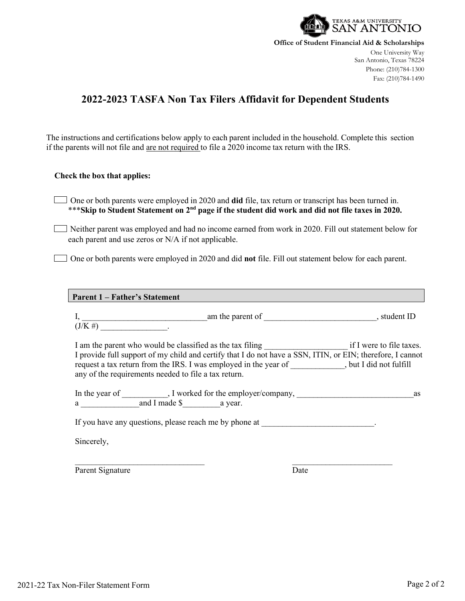

**Office of Student Financial Aid & Scholarships**

One University Way San Antonio, Texas 78224 Phone: (210)784-1300 Fax: (210)784-1490

## **2022-2023 TASFA Non Tax Filers Affidavit for Dependent Students**

The instructions and certifications below apply to each parent included in the household. Complete this section if the parents will not file and are not required to file a 2020 income tax return with the IRS.

## **Check the box that applies:**

One or both parents were employed in 2020 and **did** file, tax return or transcript has been turned in. \*\*\***Skip to Student Statement on 2nd page if the student did work and did not file taxes in 2020.**

Neither parent was employed and had no income earned from work in 2020. Fill out statement below for each parent and use zeros or N/A if not applicable.

One or both parents were employed in 2020 and did **not** file. Fill out statement below for each parent.

## **Parent 1 – Father's Statement**

I, 1. The same state of the parent of the same state of the state of the state of the state of the state of the state of the state of the state of the state of the state of the state of the state of the state of the state  $(\text{J/K \#})$  \_\_\_\_\_\_\_\_\_\_\_\_\_\_\_\_\_\_\_\_.

I am the parent who would be classified as the tax filing  $\qquad$  if I were to file taxes. I provide full support of my child and certify that I do not have a SSN, ITIN, or EIN; therefore, I cannot request a tax return from the IRS. I was employed in the year of \_\_\_\_\_\_\_\_\_\_, but I did not fulfill any of the requirements needed to file a tax return.

| In the year of | , I worked for the employer/company, |        |  |
|----------------|--------------------------------------|--------|--|
|                | and I made S                         | a vear |  |

If you have any questions, please reach me by phone at  $\blacksquare$ 

Sincerely,

 $\mathcal{L}_\text{max}$  , and the contract of the contract of the contract of the contract of the contract of the contract of Parent Signature Date